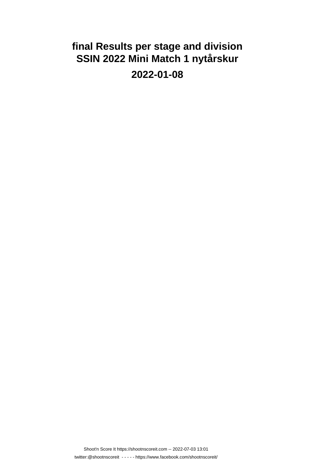# **final Results per stage and division SSIN 2022 Mini Match 1 nytårskur 2022-01-08**

Shoot'n Score It https://shootnscoreit.com -- 2022-07-03 13:01 twitter:@shootnscoreit - - - - - https://www.facebook.com/shootnscoreit/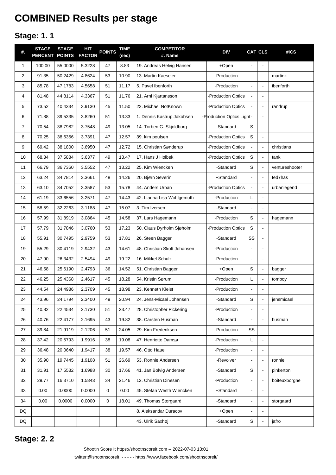# **COMBINED Results per stage**

### **Stage: 1. 1**

| #.             | <b>STAGE</b><br><b>PERCENT</b> | <b>STAGE</b><br><b>POINTS</b> | <b>HIT</b><br><b>FACTOR</b> | <b>POINTS</b> | <b>TIME</b><br>(sec) | <b>COMPETITOR</b><br>#. Name | <b>DIV</b>                |                          | <b>CAT CLS</b>           | #ICS           |
|----------------|--------------------------------|-------------------------------|-----------------------------|---------------|----------------------|------------------------------|---------------------------|--------------------------|--------------------------|----------------|
| $\mathbf{1}$   | 100.00                         | 55.0000                       | 5.3228                      | 47            | 8.83                 | 19. Andreas Helvig Hansen    | +Open                     | L,                       | $\blacksquare$           |                |
| $\overline{2}$ | 91.35                          | 50.2429                       | 4.8624                      | 53            | 10.90                | 13. Martin Kaeseler          | -Production               | L.                       | $\overline{a}$           | martink        |
| 3              | 85.78                          | 47.1783                       | 4.5658                      | 51            | 11.17                | 5. Pavel Ibenforth           | -Production               | L.                       | $\blacksquare$           | ibenforth      |
| 4              | 81.48                          | 44.8114                       | 4.3367                      | 51            | 11.76                | 21. Arni Kjartansson         | -Production Optics        | $\overline{a}$           | $\blacksquare$           |                |
| 5              | 73.52                          | 40.4334                       | 3.9130                      | 45            | 11.50                | 22. Michael NotKnown         | -Production Optics        | $\overline{a}$           | $\blacksquare$           | randrup        |
| 6              | 71.88                          | 39.5335                       | 3.8260                      | 51            | 13.33                | 1. Dennis Kastrup Jakobsen   | -Production Optics Light- |                          | $\blacksquare$           |                |
| $\overline{7}$ | 70.54                          | 38.7982                       | 3.7548                      | 49            | 13.05                | 14. Torben G. Skjoldborg     | -Standard                 | S                        | $\blacksquare$           |                |
| 8              | 70.25                          | 38.6356                       | 3.7391                      | 47            | 12.57                | 39. kim poulsen              | -Production Optics        | $\mathbf S$              | $\blacksquare$           |                |
| 9              | 69.42                          | 38.1800                       | 3.6950                      | 47            | 12.72                | 15. Christian Sønderup       | -Production Optics        | $\blacksquare$           | $\blacksquare$           | christians     |
| 10             | 68.34                          | 37.5884                       | 3.6377                      | 49            | 13.47                | 17. Hans J Holbek            | <b>Production Optics</b>  | $\mathbf S$              | $\blacksquare$           | tank           |
| 11             | 66.79                          | 36.7360                       | 3.5552                      | 47            | 13.22                | 25. Kim Wiencken             | -Standard                 | S                        | $\blacksquare$           | ventureshooter |
| 12             | 63.24                          | 34.7814                       | 3.3661                      | 48            | 14.26                | 20. Bjørn Severin            | +Standard                 | $\overline{a}$           | $\blacksquare$           | fed7has        |
| 13             | 63.10                          | 34.7052                       | 3.3587                      | 53            | 15.78                | 44. Anders Urban             | -Production Optics        | $\overline{a}$           | $\blacksquare$           | urbanlegend    |
| 14             | 61.19                          | 33.6556                       | 3.2571                      | 47            | 14.43                | 42. Lianna Lisa Wohlgemuth   | -Production               | Г                        | $\blacksquare$           |                |
| 15             | 58.59                          | 32.2263                       | 3.1188                      | 47            | 15.07                | 3. Tim Iversen               | -Standard                 | $\overline{a}$           | $\overline{a}$           |                |
| 16             | 57.99                          | 31.8919                       | 3.0864                      | 45            | 14.58                | 37. Lars Hagemann            | -Production               | S                        | $\blacksquare$           | hagemann       |
| 17             | 57.79                          | 31.7846                       | 3.0760                      | 53            | 17.23                | 50. Claus Dyrholm Sjøholm    | <b>Production Optics</b>  | S                        | $\blacksquare$           |                |
| 18             | 55.91                          | 30.7495                       | 2.9759                      | 53            | 17.81                | 26. Steen Bagger             | -Standard                 | SS                       | $\blacksquare$           |                |
| 19             | 55.29                          | 30.4119                       | 2.9432                      | 43            | 14.61                | 48. Christian Skott Johansen | -Production               | $\overline{a}$           | $\overline{a}$           |                |
| 20             | 47.90                          | 26.3432                       | 2.5494                      | 49            | 19.22                | 16. Mikkel Schulz            | -Production               | $\overline{\phantom{a}}$ | $\blacksquare$           |                |
| 21             | 46.58                          | 25.6190                       | 2.4793                      | 36            | 14.52                | 51. Christian Bagger         | +Open                     | S                        | $\blacksquare$           | bagger         |
| 22             | 46.25                          | 25.4368                       | 2.4617                      | 45            | 18.28                | 54. Kristin Sørum            | -Production               | L                        | $\blacksquare$           | tomboy         |
| 23             | 44.54                          | 24.4986                       | 2.3709                      | 45            | 18.98                | 23. Kenneth Kleist           | -Production               | L.                       | $\blacksquare$           |                |
| 24             | 43.96                          | 24.1794                       | 2.3400                      | 49            | 20.94                | 24. Jens-Micael Johansen     | -Standard                 | S                        |                          | jensmicael     |
| 25             | 40.82                          | 22.4534                       | 2.1730                      | 51            | 23.47                | 28. Christopher Pickering    | -Production               | $\overline{a}$           | $\blacksquare$           |                |
| 26             | 40.76                          | 22.4177                       | 2.1695                      | 43            | 19.82                | 38. Carsten Husman           | -Standard                 | $\overline{\phantom{a}}$ | $\blacksquare$           | husman         |
| 27             | 39.84                          | 21.9119                       | 2.1206                      | 51            | 24.05                | 29. Kim Frederiksen          | -Production               | SS                       | $\blacksquare$           |                |
| 28             | 37.42                          | 20.5793                       | 1.9916                      | 38            | 19.08                | 47. Henriette Damsø          | -Production               | L                        | ÷,                       |                |
| 29             | 36.48                          | 20.0640                       | 1.9417                      | 38            | 19.57                | 46. Otto Haue                | -Production               | $\overline{\phantom{a}}$ | $\blacksquare$           |                |
| 30             | 35.90                          | 19.7445                       | 1.9108                      | 51            | 26.69                | 53. Ronnie Andersen          | -Revolver                 | $\overline{\phantom{a}}$ | $\blacksquare$           | ronnie         |
| 31             | 31.91                          | 17.5532                       | 1.6988                      | 30            | 17.66                | 41. Jan Bolvig Andersen      | -Standard                 | S                        | $\blacksquare$           | pinkerton      |
| 32             | 29.77                          | 16.3710                       | 1.5843                      | 34            | 21.46                | 12. Christian Dinesen        | -Production               | $\overline{a}$           | $\blacksquare$           | boiteuxborgne  |
| 33             | 0.00                           | 0.0000                        | 0.0000                      | 0             | 0.00                 | 45. Stefan Westh Wiencken    | +Standard                 | $\blacksquare$           | $\overline{\phantom{a}}$ |                |
| 34             | 0.00                           | 0.0000                        | 0.0000                      | 0             | 18.01                | 49. Thomas Storgaard         | -Standard                 | $\blacksquare$           | $\blacksquare$           | storgaard      |
| DQ             |                                |                               |                             |               |                      | 8. Aleksandar Duracov        | +Open                     | $\overline{\phantom{0}}$ | $\overline{\phantom{a}}$ |                |
| DQ             |                                |                               |                             |               |                      | 43. Ulrik Saxhøj             | -Standard                 | S                        | $\blacksquare$           | jafro          |

#### **Stage: 2. 2**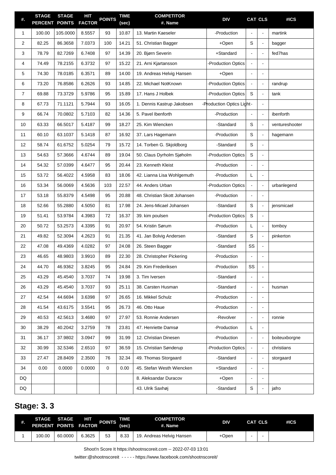| #.             | <b>STAGE</b><br><b>PERCENT</b> | <b>STAGE</b><br><b>POINTS</b> | HІТ<br><b>FACTOR</b> | <b>POINTS</b> | <b>TIME</b><br>(sec) | <b>COMPETITOR</b><br>#. Name | <b>DIV</b>                | <b>CAT CLS</b> |                      | #ICS           |
|----------------|--------------------------------|-------------------------------|----------------------|---------------|----------------------|------------------------------|---------------------------|----------------|----------------------|----------------|
| $\mathbf{1}$   | 100.00                         | 105.0000                      | 8.5557               | 93            | 10.87                | 13. Martin Kaeseler          | -Production               |                | $\blacksquare$       | martink        |
| 2              | 82.25                          | 86.3658                       | 7.0373               | 100           | 14.21                | 51. Christian Bagger         | +Open                     | S              | $\blacksquare$       | bagger         |
| 3              | 78.79                          | 82.7269                       | 6.7408               | 97            | 14.39                | 20. Bjørn Severin            | +Standard                 |                | $\blacksquare$       | fed7has        |
| 4              | 74.49                          | 78.2155                       | 6.3732               | 97            | 15.22                | 21. Arni Kjartansson         | <b>Production Optics</b>  |                | $\blacksquare$       |                |
| 5              | 74.30                          | 78.0185                       | 6.3571               | 89            | 14.00                | 19. Andreas Helvig Hansen    | +Open                     |                | $\blacksquare$       |                |
| 6              | 73.20                          | 76.8586                       | 6.2626               | 93            | 14.85                | 22. Michael NotKnown         | <b>Production Optics</b>  | $\blacksquare$ | $\blacksquare$       | randrup        |
| $\overline{7}$ | 69.88                          | 73.3729                       | 5.9786               | 95            | 15.89                | 17. Hans J Holbek            | <b>Production Optics</b>  | S              | $\blacksquare$       | tank           |
| 8              | 67.73                          | 71.1121                       | 5.7944               | 93            | 16.05                | 1. Dennis Kastrup Jakobsen   | -Production Optics Light- |                | $\blacksquare$       |                |
| 9              | 66.74                          | 70.0802                       | 5.7103               | 82            | 14.36                | 5. Pavel Ibenforth           | -Production               |                | $\blacksquare$       | ibenforth      |
| 10             | 63.33                          | 66.5017                       | 5.4187               | 99            | 18.27                | 25. Kim Wiencken             | -Standard                 | S              | $\blacksquare$       | ventureshooter |
| 11             | 60.10                          | 63.1037                       | 5.1418               | 87            | 16.92                | 37. Lars Hagemann            | -Production               | S              | $\blacksquare$       | hagemann       |
| 12             | 58.74                          | 61.6752                       | 5.0254               | 79            | 15.72                | 14. Torben G. Skjoldborg     | -Standard                 | S              | $\blacksquare$       |                |
| 13             | 54.63                          | 57.3666                       | 4.6744               | 89            | 19.04                | 50. Claus Dyrholm Sjøholm    | <b>Production Optics</b>  | S              | $\blacksquare$       |                |
| 14             | 54.32                          | 57.0399                       | 4.6477               | 95            | 20.44                | 23. Kenneth Kleist           | -Production               |                | $\blacksquare$       |                |
| 15             | 53.72                          | 56.4022                       | 4.5958               | 83            | 18.06                | 42. Lianna Lisa Wohlgemuth   | -Production               | L              | $\blacksquare$       |                |
| 16             | 53.34                          | 56.0069                       | 4.5636               | 103           | 22.57                | 44. Anders Urban             | <b>Production Optics</b>  |                | $\blacksquare$       | urbanlegend    |
| 17             | 53.18                          | 55.8379                       | 4.5498               | 95            | 20.88                | 48. Christian Skott Johansen | -Production               |                | $\blacksquare$       |                |
| 18             | 52.66                          | 55.2880                       | 4.5050               | 81            | 17.98                | 24. Jens-Micael Johansen     | -Standard                 | S              | $\blacksquare$       | jensmicael     |
| 19             | 51.41                          | 53.9784                       | 4.3983               | 72            | 16.37                | 39. kim poulsen              | <b>Production Optics</b>  | $\mathsf S$    | $\blacksquare$       |                |
| 20             | 50.72                          | 53.2573                       | 4.3395               | 91            | 20.97                | 54. Kristin Sørum            | -Production               | L              | $\blacksquare$       | tomboy         |
| 21             | 49.82                          | 52.3094                       | 4.2623               | 91            | 21.35                | 41. Jan Bolvig Andersen      | -Standard                 | S              | $\blacksquare$       | pinkerton      |
| 22             | 47.08                          | 49.4369                       | 4.0282               | 97            | 24.08                | 26. Steen Bagger             | -Standard                 | SS             | $\blacksquare$       |                |
| 23             | 46.65                          | 48.9803                       | 3.9910               | 89            | 22.30                | 28. Christopher Pickering    | -Production               |                |                      |                |
| 24             | 44.70                          | 46.9362                       | 3.8245               | 95            | 24.84                | 29. Kim Frederiksen          | -Production               | SS             | $\blacksquare$       |                |
| 25             | 43.29                          | 45.4540                       | 3.7037               | 74            | 19.98                | 3. Tim Iversen               | -Standard                 |                |                      |                |
| 26             | 43.29                          | 45.4540                       | 3.7037               | 93            | 25.11                | 38. Carsten Husman           | -Standard                 | $\blacksquare$ | $\blacksquare$       | husman         |
| 27             | 42.54                          | 44.6694                       | 3.6398               | 97            | 26.65                | 16. Mikkel Schulz            | -Production               | $\blacksquare$ | $\blacksquare$       |                |
| 28             | 41.54                          | 43.6175                       | 3.5541               | 95            | 26.73                | 46. Otto Haue                | -Production               |                | $\blacksquare$       |                |
| 29             | 40.53                          | 42.5613                       | 3.4680               | 97            | 27.97                | 53. Ronnie Andersen          | -Revolver                 | $\blacksquare$ | $\blacksquare$       | ronnie         |
| 30             | 38.29                          | 40.2042                       | 3.2759               | 78            | 23.81                | 47. Henriette Damsø          | -Production               | L              | $\blacksquare$       |                |
| 31             | 36.17                          | 37.9802                       | 3.0947               | 99            | 31.99                | 12. Christian Dinesen        | -Production               | $\blacksquare$ | $\blacksquare$       | boiteuxborgne  |
| 32             | 30.99                          | 32.5346                       | 2.6510               | 97            | 36.59                | 15. Christian Sønderup       | -Production Optics        |                | $\blacksquare$       | christians     |
| 33             | 27.47                          | 28.8409                       | 2.3500               | 76            | 32.34                | 49. Thomas Storgaard         | -Standard                 | $\blacksquare$ | $\blacksquare$       | storgaard      |
| 34             | 0.00                           | 0.0000                        | 0.0000               | 0             | 0.00                 | 45. Stefan Westh Wiencken    | +Standard                 |                | $\blacksquare$       |                |
| DQ             |                                |                               |                      |               |                      | 8. Aleksandar Duracov        | +Open                     |                | $\overline{a}$       |                |
| DQ             |                                |                               |                      |               |                      | 43. Ulrik Saxhøj             | -Standard                 | S              | $\ddot{\phantom{a}}$ | jafro          |

### **Stage: 3. 3**

| ₩. | <b>STAGE</b><br>PERCENT POINTS FACTOR | <b>STAGE</b> | ΗП     | <b>POINTS</b> | TIME<br>(sec) | <b>COMPETITOR</b><br>#. Name | <b>DIV</b> | <b>CAT CLS</b> | #ICS |
|----|---------------------------------------|--------------|--------|---------------|---------------|------------------------------|------------|----------------|------|
|    | 100.00                                | 60.0000      | 6.3625 | 53            | 8.33          | 19. Andreas Helvig Hansen    | +Open      |                |      |

Shoot'n Score It https://shootnscoreit.com -- 2022-07-03 13:01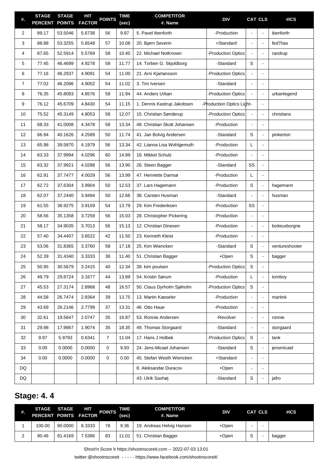| #.             | <b>STAGE</b><br><b>PERCENT</b> | <b>STAGE</b><br><b>POINTS</b> | <b>HIT</b><br><b>FACTOR</b> | <b>POINTS</b>  | <b>TIME</b><br>(sec) | <b>COMPETITOR</b><br>#. Name | <b>DIV</b>                |                              | <b>CAT CLS</b>           | #ICS           |
|----------------|--------------------------------|-------------------------------|-----------------------------|----------------|----------------------|------------------------------|---------------------------|------------------------------|--------------------------|----------------|
| 2              | 89.17                          | 53.5046                       | 5.6738                      | 56             | 9.87                 | 5. Pavel Ibenforth           | -Production               |                              | $\blacksquare$           | ibenforth      |
| 3              | 88.88                          | 53.3255                       | 5.6548                      | 57             | 10.08                | 20. Bjørn Severin            | +Standard                 | ä,                           | $\blacksquare$           | fed7has        |
| 4              | 87.65                          | 52.5914                       | 5.5769                      | 58             | 10.40                | 22. Michael NotKnown         | -Production Optics        |                              | $\blacksquare$           | randrup        |
| 5              | 77.45                          | 46.4699                       | 4.9278                      | 58             | 11.77                | 14. Torben G. Skjoldborg     | -Standard                 | S                            | $\blacksquare$           |                |
| 6              | 77.16                          | 46.2937                       | 4.9091                      | 54             | 11.00                | 21. Arni Kjartansson         | -Production Optics        |                              | $\blacksquare$           |                |
| $\overline{7}$ | 77.02                          | 46.2096                       | 4.9002                      | 54             | 11.02                | 3. Tim Iversen               | -Standard                 | $\blacksquare$               | $\blacksquare$           |                |
| 8              | 76.35                          | 45.8083                       | 4.8576                      | 58             | 11.94                | 44. Anders Urban             | -Production Optics        |                              | $\blacksquare$           | urbanlegend    |
| 9              | 76.12                          | 45.6709                       | 4.8430                      | 54             | 11.15                | 1. Dennis Kastrup Jakobsen   | -Production Optics Light- |                              | $\blacksquare$           |                |
| 10             | 75.52                          | 45.3149                       | 4.8053                      | 58             | 12.07                | 15. Christian Sønderup       | -Production Optics        |                              | $\blacksquare$           | christians     |
| 11             | 68.33                          | 41.0008                       | 4.3478                      | 58             | 13.34                | 48. Christian Skott Johansen | -Production               | $\blacksquare$               | $\blacksquare$           |                |
| 12             | 66.94                          | 40.1626                       | 4.2589                      | 50             | 11.74                | 41. Jan Bolvig Andersen      | -Standard                 | S                            | $\blacksquare$           | pinkerton      |
| 13             | 65.98                          | 39.5870                       | 4.1979                      | 56             | 13.34                | 42. Lianna Lisa Wohlgemuth   | -Production               | L                            | $\blacksquare$           |                |
| 14             | 63.33                          | 37.9994                       | 4.0296                      | 60             | 14.89                | 16. Mikkel Schulz            | -Production               |                              | $\blacksquare$           |                |
| 15             | 63.32                          | 37.9921                       | 4.0288                      | 56             | 13.90                | 26. Steen Bagger             | -Standard                 | SS                           | $\blacksquare$           |                |
| 16             | 62.91                          | 37.7477                       | 4.0029                      | 56             | 13.99                | 47. Henriette Damsø          | -Production               | L                            | $\blacksquare$           |                |
| 17             | 62.72                          | 37.6304                       | 3.9904                      | 50             | 12.53                | 37. Lars Hagemann            | -Production               | S                            | $\blacksquare$           | hagemann       |
| 18             | 62.07                          | 37.2440                       | 3.9494                      | 50             | 12.66                | 38. Carsten Husman           | -Standard                 | $\overline{a}$               | $\blacksquare$           | husman         |
| 19             | 61.55                          | 36.9275                       | 3.9159                      | 54             | 13.79                | 29. Kim Frederiksen          | -Production               | SS                           | $\blacksquare$           |                |
| 20             | 58.56                          | 35.1358                       | 3.7259                      | 56             | 15.03                | 28. Christopher Pickering    | -Production               | $\blacksquare$               | $\blacksquare$           |                |
| 21             | 58.17                          | 34.9035                       | 3.7013                      | 56             | 15.13                | 12. Christian Dinesen        | -Production               | $\overline{a}$               | $\blacksquare$           | boiteuxborgne  |
| 22             | 57.40                          | 34.4407                       | 3.6522                      | 42             | 11.50                | 23. Kenneth Kleist           | -Production               | $\qquad \qquad \blacksquare$ | $\blacksquare$           |                |
| 23             | 53.06                          | 31.8365                       | 3.3760                      | 58             | 17.18                | 25. Kim Wiencken             | -Standard                 | S                            | $\blacksquare$           | ventureshooter |
| 24             | 52.39                          | 31.4340                       | 3.3333                      | 38             | 11.40                | 51. Christian Bagger         | +Open                     | S                            | ÷,                       | bagger         |
| 25             | 50.95                          | 30.5679                       | 3.2415                      | 40             | 12.34                | 39. kim poulsen              | Production Optics         | S                            | $\overline{\phantom{a}}$ |                |
| 26             | 49.79                          | 29.8724                       | 3.1677                      | 44             | 13.89                | 54. Kristin Sørum            | -Production               | L                            | $\blacksquare$           | tomboy         |
| 27             | 45.53                          | 27.3174                       | 2.8968                      | 48             | 16.57                | 50. Claus Dyrholm Sjøholm    | <b>Production Optics</b>  | $\mathbf S$                  | $\blacksquare$           |                |
| 28             | 44.58                          | 26.7474                       | 2.8364                      | 39             | 13.75                | 13. Martin Kaeseler          | -Production               | $\qquad \qquad \blacksquare$ | $\blacksquare$           | martink        |
| 29             | 43.69                          | 26.2146                       | 2.7799                      | 37             | 13.31                | 46. Otto Haue                | -Production               | $\blacksquare$               | $\blacksquare$           |                |
| 30             | 32.61                          | 19.5647                       | 2.0747                      | 35             | 16.87                | 53. Ronnie Andersen          | -Revolver                 | $\qquad \qquad \blacksquare$ | $\blacksquare$           | ronnie         |
| 31             | 29.98                          | 17.9867                       | 1.9074                      | 35             | 18.35                | 49. Thomas Storgaard         | -Standard                 | $\blacksquare$               | $\blacksquare$           | storgaard      |
| 32             | 9.97                           | 5.9793                        | 0.6341                      | $\overline{7}$ | 11.04                | 17. Hans J Holbek            | <b>Production Optics</b>  | S                            | $\blacksquare$           | tank           |
| 33             | 0.00                           | 0.0000                        | 0.0000                      | 0              | 9.93                 | 24. Jens-Micael Johansen     | -Standard                 | S                            | $\blacksquare$           | jensmicael     |
| 34             | 0.00                           | 0.0000                        | 0.0000                      | 0              | 0.00                 | 45. Stefan Westh Wiencken    | +Standard                 | ä,                           | $\blacksquare$           |                |
| DQ             |                                |                               |                             |                |                      | 8. Aleksandar Duracov        | +Open                     | $\qquad \qquad \blacksquare$ | $\blacksquare$           |                |
| DQ             |                                |                               |                             |                |                      | 43. Ulrik Saxhøj             | -Standard                 | S                            | ÷,                       | jafro          |

### **Stage: 4. 4**

| #.     | <b>STAGE STAGE</b><br>PERCENT POINTS FACTOR |         | HП     | <b>POINTS</b> | TIME<br>(sec) | <b>COMPETITOR</b><br>#. Name | <b>DIV</b> | <b>CAT CLS</b> | #ICS   |
|--------|---------------------------------------------|---------|--------|---------------|---------------|------------------------------|------------|----------------|--------|
|        | 100.00                                      | 90.0000 | 8.3333 | 78            | 9.36          | 19. Andreas Helvig Hansen    | +Open      |                |        |
| $\sim$ | 90.46                                       | 81.4169 | 7.5386 | 83            | 11.01         | 51. Christian Bagger         | +Open      | S              | bagger |

Shoot'n Score It https://shootnscoreit.com -- 2022-07-03 13:01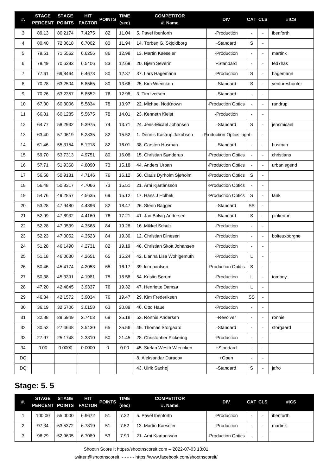| #.             | <b>STAGE</b><br><b>PERCENT</b> | <b>STAGE</b><br><b>POINTS</b> | <b>HIT</b><br><b>FACTOR</b> | <b>POINTS</b> | <b>TIME</b><br>(sec) | <b>COMPETITOR</b><br>#. Name | <b>DIV</b>                |                | <b>CAT CLS</b>           | #ICS           |
|----------------|--------------------------------|-------------------------------|-----------------------------|---------------|----------------------|------------------------------|---------------------------|----------------|--------------------------|----------------|
| 3              | 89.13                          | 80.2174                       | 7.4275                      | 82            | 11.04                | 5. Pavel Ibenforth           | -Production               | $\blacksquare$ | $\blacksquare$           | ibenforth      |
| 4              | 80.40                          | 72.3618                       | 6.7002                      | 80            | 11.94                | 14. Torben G. Skjoldborg     | -Standard                 | $\mathbf S$    | ÷,                       |                |
| 5              | 79.51                          | 71.5562                       | 6.6256                      | 86            | 12.98                | 13. Martin Kaeseler          | -Production               | $\blacksquare$ | $\blacksquare$           | martink        |
| 6              | 78.49                          | 70.6383                       | 6.5406                      | 83            | 12.69                | 20. Bjørn Severin            | +Standard                 | $\blacksquare$ | $\blacksquare$           | fed7has        |
| $\overline{7}$ | 77.61                          | 69.8464                       | 6.4673                      | 80            | 12.37                | 37. Lars Hagemann            | -Production               | $\mathbf S$    | $\Box$                   | hagemann       |
| 8              | 70.28                          | 63.2504                       | 5.8565                      | 80            | 13.66                | 25. Kim Wiencken             | -Standard                 | $\mathbf S$    | $\blacksquare$           | ventureshooter |
| 9              | 70.26                          | 63.2357                       | 5.8552                      | 76            | 12.98                | 3. Tim Iversen               | -Standard                 | $\blacksquare$ | $\blacksquare$           |                |
| 10             | 67.00                          | 60.3006                       | 5.5834                      | 78            | 13.97                | 22. Michael NotKnown         | -Production Optics        |                | $\blacksquare$           | randrup        |
| 11             | 66.81                          | 60.1285                       | 5.5675                      | 78            | 14.01                | 23. Kenneth Kleist           | -Production               |                | $\blacksquare$           |                |
| 12             | 64.77                          | 58.2932                       | 5.3975                      | 74            | 13.71                | 24. Jens-Micael Johansen     | -Standard                 | S              | ÷,                       | jensmicael     |
| 13             | 63.40                          | 57.0619                       | 5.2835                      | 82            | 15.52                | 1. Dennis Kastrup Jakobsen   | -Production Optics Light- |                | $\blacksquare$           |                |
| 14             | 61.46                          | 55.3154                       | 5.1218                      | 82            | 16.01                | 38. Carsten Husman           | -Standard                 |                | $\blacksquare$           | husman         |
| 15             | 59.70                          | 53.7313                       | 4.9751                      | 80            | 16.08                | 15. Christian Sønderup       | -Production Optics        | $\blacksquare$ | $\blacksquare$           | christians     |
| 16             | 57.71                          | 51.9368                       | 4.8090                      | 73            | 15.18                | 44. Anders Urban             | -Production Optics        |                | $\blacksquare$           | urbanlegend    |
| 17             | 56.58                          | 50.9181                       | 4.7146                      | 76            | 16.12                | 50. Claus Dyrholm Sjøholm    | -Production Optics        | S              | $\overline{\phantom{a}}$ |                |
| 18             | 56.48                          | 50.8317                       | 4.7066                      | 73            | 15.51                | 21. Arni Kjartansson         | -Production Optics        |                | $\blacksquare$           |                |
| 19             | 54.76                          | 49.2857                       | 4.5635                      | 69            | 15.12                | 17. Hans J Holbek            | -Production Optics        | S              | $\blacksquare$           | tank           |
| 20             | 53.28                          | 47.9480                       | 4.4396                      | 82            | 18.47                | 26. Steen Bagger             | -Standard                 | SS             | $\blacksquare$           |                |
| 21             | 52.99                          | 47.6932                       | 4.4160                      | 76            | 17.21                | 41. Jan Bolvig Andersen      | -Standard                 | $\mathbf S$    | $\blacksquare$           | pinkerton      |
| 22             | 52.28                          | 47.0539                       | 4.3568                      | 84            | 19.28                | 16. Mikkel Schulz            | -Production               |                | $\blacksquare$           |                |
| 23             | 52.23                          | 47.0052                       | 4.3523                      | 84            | 19.30                | 12. Christian Dinesen        | -Production               |                | $\blacksquare$           | boiteuxborgne  |
| 24             | 51.28                          | 46.1490                       | 4.2731                      | 82            | 19.19                | 48. Christian Skott Johansen | -Production               |                | $\blacksquare$           |                |
| 25             | 51.18                          | 46.0630                       | 4.2651                      | 65            | 15.24                | 42. Lianna Lisa Wohlgemuth   | -Production               | L              |                          |                |
| 26             | 50.46                          | 45.4174                       | 4.2053                      | 68            | 16.17                | 39. kim poulsen              | -Production Optics        | S              | $\blacksquare$           |                |
| 27             | 50.38                          | 45.3391                       | 4.1981                      | 78            | 18.58                | 54. Kristin Sørum            | -Production               | L.             | $\blacksquare$           | tomboy         |
| 28             | 47.20                          | 42.4845                       | 3.9337                      | 76            | 19.32                | 47. Henriette Damsø          | -Production               | L              | $\blacksquare$           |                |
| 29             | 46.84                          | 42.1572                       | 3.9034                      | 76            | 19.47                | 29. Kim Frederiksen          | -Production               | SS             | $\overline{a}$           |                |
| 30             | 36.19                          | 32.5706                       | 3.0158                      | 63            | 20.89                | 46. Otto Haue                | -Production               |                | $\blacksquare$           |                |
| 31             | 32.88                          | 29.5949                       | 2.7403                      | 69            | 25.18                | 53. Ronnie Andersen          | -Revolver                 | $\blacksquare$ | $\blacksquare$           | ronnie         |
| 32             | 30.52                          | 27.4648                       | 2.5430                      | 65            | 25.56                | 49. Thomas Storgaard         | -Standard                 | $\overline{a}$ | $\blacksquare$           | storgaard      |
| 33             | 27.97                          | 25.1748                       | 2.3310                      | 50            | 21.45                | 28. Christopher Pickering    | -Production               |                | $\overline{a}$           |                |
| 34             | 0.00                           | 0.0000                        | 0.0000                      | 0             | 0.00                 | 45. Stefan Westh Wiencken    | +Standard                 | $\blacksquare$ | $\blacksquare$           |                |
| DQ             |                                |                               |                             |               |                      | 8. Aleksandar Duracov        | +Open                     |                |                          |                |
| DQ             |                                |                               |                             |               |                      | 43. Ulrik Saxhøj             | -Standard                 | S              | $\overline{\phantom{a}}$ | jafro          |

### **Stage: 5. 5**

| #. | PERCENT POINTS FACTOR | STAGE STAGE | HП     | <b>POINTS</b> | TIME<br>(sec) | <b>COMPETITOR</b><br>#. Name | <b>DIV</b>         |   | <b>CAT CLS</b> | #ICS      |
|----|-----------------------|-------------|--------|---------------|---------------|------------------------------|--------------------|---|----------------|-----------|
|    | 100.00                | 55.0000     | 6.9672 | 51            | 7.32          | 5. Pavel Ibenforth           | -Production        | - |                | ibenforth |
| 2  | 97.34                 | 53.5372     | 6.7819 | 51            | 7.52          | 13. Martin Kaeseler          | -Production        |   |                | martink   |
| 3  | 96.29                 | 52.9605     | 6.7089 | 53            | 7.90          | 21. Arni Kjartansson         | -Production Optics |   |                |           |

Shoot'n Score It https://shootnscoreit.com -- 2022-07-03 13:01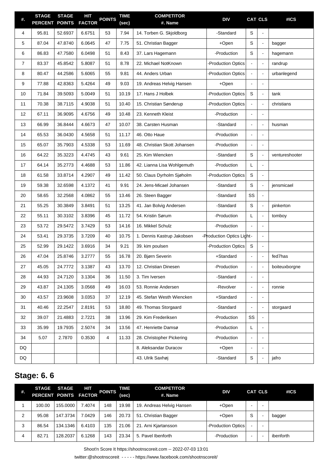| #.             | <b>STAGE</b><br><b>PERCENT</b> | <b>STAGE</b><br><b>POINTS</b> | <b>HIT</b><br><b>FACTOR</b> | <b>POINTS</b> | <b>TIME</b><br>(sec) | <b>COMPETITOR</b><br>#. Name | <b>DIV</b>                |                | <b>CAT CLS</b>           | #ICS           |
|----------------|--------------------------------|-------------------------------|-----------------------------|---------------|----------------------|------------------------------|---------------------------|----------------|--------------------------|----------------|
| 4              | 95.81                          | 52.6937                       | 6.6751                      | 53            | 7.94                 | 14. Torben G. Skjoldborg     | -Standard                 | $\mathbb S$    | $\blacksquare$           |                |
| 5              | 87.04                          | 47.8740                       | 6.0645                      | 47            | 7.75                 | 51. Christian Bagger         | +Open                     | $\mathbf S$    | $\blacksquare$           | bagger         |
| 6              | 86.83                          | 47.7580                       | 6.0498                      | 51            | 8.43                 | 37. Lars Hagemann            | -Production               | $\mathbf S$    | $\blacksquare$           | hagemann       |
| $\overline{7}$ | 83.37                          | 45.8542                       | 5.8087                      | 51            | 8.78                 | 22. Michael NotKnown         | -Production Optics        |                | $\blacksquare$           | randrup        |
| 8              | 80.47                          | 44.2586                       | 5.6065                      | 55            | 9.81                 | 44. Anders Urban             | -Production Optics        |                | $\blacksquare$           | urbanlegend    |
| 9              | 77.88                          | 42.8363                       | 5.4264                      | 49            | 9.03                 | 19. Andreas Helvig Hansen    | +Open                     |                | $\blacksquare$           |                |
| 10             | 71.84                          | 39.5093                       | 5.0049                      | 51            | 10.19                | 17. Hans J Holbek            | -Production Optics        | S              | $\overline{\phantom{a}}$ | tank           |
| 11             | 70.38                          | 38.7115                       | 4.9038                      | 51            | 10.40                | 15. Christian Sønderup       | -Production Optics        |                | $\blacksquare$           | christians     |
| 12             | 67.11                          | 36.9095                       | 4.6756                      | 49            | 10.48                | 23. Kenneth Kleist           | -Production               |                | $\blacksquare$           |                |
| 13             | 66.99                          | 36.8444                       | 4.6673                      | 47            | 10.07                | 38. Carsten Husman           | -Standard                 |                | $\blacksquare$           | husman         |
| 14             | 65.53                          | 36.0430                       | 4.5658                      | 51            | 11.17                | 46. Otto Haue                | -Production               |                | $\blacksquare$           |                |
| 15             | 65.07                          | 35.7903                       | 4.5338                      | 53            | 11.69                | 48. Christian Skott Johansen | -Production               |                |                          |                |
| 16             | 64.22                          | 35.3223                       | 4.4745                      | 43            | 9.61                 | 25. Kim Wiencken             | -Standard                 | $\mathbf S$    | $\blacksquare$           | ventureshooter |
| 17             | 64.14                          | 35.2773                       | 4.4688                      | 53            | 11.86                | 42. Lianna Lisa Wohlgemuth   | -Production               | L              | ÷,                       |                |
| 18             | 61.58                          | 33.8714                       | 4.2907                      | 49            | 11.42                | 50. Claus Dyrholm Sjøholm    | -Production Optics        | $\mathbf S$    | $\overline{\phantom{a}}$ |                |
| 19             | 59.38                          | 32.6598                       | 4.1372                      | 41            | 9.91                 | 24. Jens-Micael Johansen     | -Standard                 | $\mathbf S$    | $\blacksquare$           | jensmicael     |
| 20             | 58.65                          | 32.2568                       | 4.0862                      | 55            | 13.46                | 26. Steen Bagger             | -Standard                 | SS             | $\blacksquare$           |                |
| 21             | 55.25                          | 30.3849                       | 3.8491                      | 51            | 13.25                | 41. Jan Bolvig Andersen      | -Standard                 | $\mathbf S$    | $\blacksquare$           | pinkerton      |
| 22             | 55.11                          | 30.3102                       | 3.8396                      | 45            | 11.72                | 54. Kristin Sørum            | -Production               | L              | $\blacksquare$           | tomboy         |
| 23             | 53.72                          | 29.5472                       | 3.7429                      | 53            | 14.16                | 16. Mikkel Schulz            | -Production               |                | $\blacksquare$           |                |
| 24             | 53.41                          | 29.3735                       | 3.7209                      | 40            | 10.75                | 1. Dennis Kastrup Jakobsen   | -Production Optics Light- |                | ÷,                       |                |
| 25             | 52.99                          | 29.1422                       | 3.6916                      | 34            | 9.21                 | 39. kim poulsen              | -Production Optics        | S              | $\overline{a}$           |                |
| 26             | 47.04                          | 25.8746                       | 3.2777                      | 55            | 16.78                | 20. Bjørn Severin            | +Standard                 |                | ÷,                       | fed7has        |
| 27             | 45.05                          | 24.7772                       | 3.1387                      | 43            | 13.70                | 12. Christian Dinesen        | -Production               | $\blacksquare$ | $\blacksquare$           | boiteuxborgne  |
| 28             | 44.93                          | 24.7120                       | 3.1304                      | 36            | 11.50                | 3. Tim Iversen               | -Standard                 |                | $\blacksquare$           |                |
| 29             | 43.87                          | 24.1305                       | 3.0568                      | 49            | 16.03                | 53. Ronnie Andersen          | -Revolver                 | $\overline{a}$ | $\blacksquare$           | ronnie         |
| 30             | 43.57                          | 23.9608                       | 3.0353                      | 37            | 12.19                | 45. Stefan Westh Wiencken    | +Standard                 | ä,             |                          |                |
| 31             | 40.46                          | 22.2547                       | 2.8191                      | 53            | 18.80                | 49. Thomas Storgaard         | -Standard                 | $\overline{a}$ | $\blacksquare$           | storgaard      |
| 32             | 39.07                          | 21.4883                       | 2.7221                      | 38            | 13.96                | 29. Kim Frederiksen          | -Production               | SS             | $\blacksquare$           |                |
| 33             | 35.99                          | 19.7935                       | 2.5074                      | 34            | 13.56                | 47. Henriette Damsø          | -Production               | L.             | $\overline{\phantom{a}}$ |                |
| 34             | 5.07                           | 2.7870                        | 0.3530                      | 4             | 11.33                | 28. Christopher Pickering    | -Production               |                |                          |                |
| DQ             |                                |                               |                             |               |                      | 8. Aleksandar Duracov        | +Open                     | ä,             | $\blacksquare$           |                |
| DQ             |                                |                               |                             |               |                      | 43. Ulrik Saxhøj             | -Standard                 | S              |                          | jafro          |

## **Stage: 6. 6**

| #. | <b>STAGE</b><br>PERCENT POINTS FACTOR | <b>STAGE</b> | HIT    | <b>POINTS</b> | TIME<br>(sec) | <b>COMPETITOR</b><br>#. Name | <b>DIV</b>         |                          | <b>CAT CLS</b> | #ICS      |
|----|---------------------------------------|--------------|--------|---------------|---------------|------------------------------|--------------------|--------------------------|----------------|-----------|
|    | 100.00                                | 155.0000     | 7.4074 | 148           | 19.98         | 19. Andreas Helvig Hansen    | +Open              | -                        |                |           |
| っ  | 95.08                                 | 147.3734     | 7.0429 | 146           | 20.73         | 51. Christian Bagger         | +Open              | S                        |                | bagger    |
| 3  | 86.54                                 | 134.1346     | 6.4103 | 135           | 21.06         | 21. Arni Kjartansson         | -Production Optics |                          |                |           |
| 4  | 82.71                                 | 128.2037     | 6.1268 | 143           | 23.34         | 5. Pavel Ibenforth           | -Production        | $\overline{\phantom{0}}$ |                | ibenforth |

Shoot'n Score It https://shootnscoreit.com -- 2022-07-03 13:01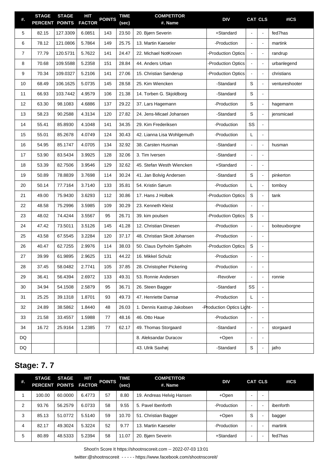| #.             | <b>STAGE</b><br><b>PERCENT</b> | <b>STAGE</b><br><b>POINTS</b> | <b>HIT</b><br><b>FACTOR</b> | <b>POINTS</b> | <b>TIME</b><br>(sec) | <b>COMPETITOR</b><br>#. Name | <b>DIV</b>                |                | <b>CAT CLS</b> | #ICS           |
|----------------|--------------------------------|-------------------------------|-----------------------------|---------------|----------------------|------------------------------|---------------------------|----------------|----------------|----------------|
| 5              | 82.15                          | 127.3309                      | 6.0851                      | 143           | 23.50                | 20. Bjørn Severin            | +Standard                 |                | $\sim$         | fed7has        |
| 6              | 78.12                          | 121.0806                      | 5.7864                      | 149           | 25.75                | 13. Martin Kaeseler          | -Production               |                | ÷,             | martink        |
| $\overline{7}$ | 77.79                          | 120.5731                      | 5.7622                      | 141           | 24.47                | 22. Michael NotKnown         | -Production Optics        |                | $\blacksquare$ | randrup        |
| 8              | 70.68                          | 109.5588                      | 5.2358                      | 151           | 28.84                | 44. Anders Urban             | -Production Optics        |                | $\blacksquare$ | urbanlegend    |
| 9              | 70.34                          | 109.0327                      | 5.2106                      | 141           | 27.06                | 15. Christian Sønderup       | -Production Optics        |                | $\blacksquare$ | christians     |
| 10             | 68.49                          | 106.1625                      | 5.0735                      | 145           | 28.58                | 25. Kim Wiencken             | -Standard                 | S              | $\blacksquare$ | ventureshooter |
| 11             | 66.93                          | 103.7442                      | 4.9579                      | 106           | 21.38                | 14. Torben G. Skjoldborg     | -Standard                 | S              | $\blacksquare$ |                |
| 12             | 63.30                          | 98.1083                       | 4.6886                      | 137           | 29.22                | 37. Lars Hagemann            | -Production               | $\mathsf S$    | $\blacksquare$ | hagemann       |
| 13             | 58.23                          | 90.2588                       | 4.3134                      | 120           | 27.82                | 24. Jens-Micael Johansen     | -Standard                 | S              | $\omega$       | jensmicael     |
| 14             | 55.41                          | 85.8930                       | 4.1048                      | 141           | 34.35                | 29. Kim Frederiksen          | -Production               | SS             | $\blacksquare$ |                |
| 15             | 55.01                          | 85.2678                       | 4.0749                      | 124           | 30.43                | 42. Lianna Lisa Wohlgemuth   | -Production               | L              | ÷,             |                |
| 16             | 54.95                          | 85.1747                       | 4.0705                      | 134           | 32.92                | 38. Carsten Husman           | -Standard                 |                | ÷,             | husman         |
| 17             | 53.90                          | 83.5434                       | 3.9925                      | 128           | 32.06                | 3. Tim Iversen               | -Standard                 |                | ÷,             |                |
| 18             | 53.39                          | 82.7506                       | 3.9546                      | 129           | 32.62                | 45. Stefan Westh Wiencken    | +Standard                 |                | $\sim$         |                |
| 19             | 50.89                          | 78.8839                       | 3.7698                      | 114           | 30.24                | 41. Jan Bolvig Andersen      | -Standard                 | $\mathsf S$    | $\blacksquare$ | pinkerton      |
| 20             | 50.14                          | 77.7164                       | 3.7140                      | 133           | 35.81                | 54. Kristin Sørum            | -Production               | L              | $\blacksquare$ | tomboy         |
| 21             | 49.00                          | 75.9430                       | 3.6293                      | 112           | 30.86                | 17. Hans J Holbek            | -Production Optics        | S              | $\mathbf{r}$   | tank           |
| 22             | 48.58                          | 75.2996                       | 3.5985                      | 109           | 30.29                | 23. Kenneth Kleist           | -Production               |                | $\sim$         |                |
| 23             | 48.02                          | 74.4244                       | 3.5567                      | 95            | 26.71                | 39. kim poulsen              | -Production Optics        | S              | $\blacksquare$ |                |
| 24             | 47.42                          | 73.5011                       | 3.5126                      | 145           | 41.28                | 12. Christian Dinesen        | -Production               |                | $\blacksquare$ | boiteuxborgne  |
| 25             | 43.58                          | 67.5545                       | 3.2284                      | 120           | 37.17                | 48. Christian Skott Johansen | -Production               |                | $\blacksquare$ |                |
| 26             | 40.47                          | 62.7255                       | 2.9976                      | 114           | 38.03                | 50. Claus Dyrholm Sjøholm    | -Production Optics        | S              | ÷,             |                |
| 27             | 39.99                          | 61.9895                       | 2.9625                      | 131           | 44.22                | 16. Mikkel Schulz            | -Production               |                |                |                |
| 28             | 37.45                          | 58.0482                       | 2.7741                      | 105           | 37.85                | 28. Christopher Pickering    | -Production               | $\blacksquare$ | $\blacksquare$ |                |
| 29             | 36.41                          | 56.4394                       | 2.6972                      | 133           | 49.31                | 53. Ronnie Andersen          | -Revolver                 |                | ÷,             | ronnie         |
| 30             | 34.94                          | 54.1508                       | 2.5879                      | 95            | 36.71                | 26. Steen Bagger             | -Standard                 | SS             | $\blacksquare$ |                |
| 31             | 25.25                          | 39.1318                       | 1.8701                      | 93            | 49.73                | 47. Henriette Damsø          | -Production               | L              | $\overline{a}$ |                |
| 32             | 24.89                          | 38.5862                       | 1.8440                      | 48            | 26.03                | 1. Dennis Kastrup Jakobsen   | -Production Optics Light- |                | $\blacksquare$ |                |
| 33             | 21.58                          | 33.4557                       | 1.5988                      | 77            | 48.16                | 46. Otto Haue                | -Production               |                | $\sim$         |                |
| 34             | 16.72                          | 25.9164                       | 1.2385                      | 77            | 62.17                | 49. Thomas Storgaard         | -Standard                 |                | ÷,             | storgaard      |
| DQ             |                                |                               |                             |               |                      | 8. Aleksandar Duracov        | +Open                     |                | $\sim$         |                |
| DQ             |                                |                               |                             |               |                      | 43. Ulrik Saxhøj             | -Standard                 | S              | $\blacksquare$ | jafro          |

## **Stage: 7. 7**

| #.             | <b>STAGE</b><br>PERCENT POINTS FACTOR | <b>STAGE</b> | HІТ    | <b>POINTS</b> | TIME<br>(sec) | <b>COMPETITOR</b><br>#. Name | <b>DIV</b>   |                          | <b>CAT CLS</b>           | #ICS      |
|----------------|---------------------------------------|--------------|--------|---------------|---------------|------------------------------|--------------|--------------------------|--------------------------|-----------|
|                | 100.00                                | 60.0000      | 6.4773 | 57            | 8.80          | 19. Andreas Helvig Hansen    | +Open        | $\overline{\phantom{0}}$ | $\overline{\phantom{0}}$ |           |
| $\overline{2}$ | 93.76                                 | 56.2579      | 6.0733 | 58            | 9.55          | 5. Pavel Ibenforth           | -Production  | $\overline{\phantom{0}}$ | $\overline{\phantom{0}}$ | ibenforth |
| 3              | 85.13                                 | 51.0772      | 5.5140 | 59            | 10.70         | 51. Christian Bagger         | +Open        | S                        | $\overline{\phantom{0}}$ | bagger    |
| 4              | 82.17                                 | 49.3024      | 5.3224 | 52            | 9.77          | 13. Martin Kaeseler          | -Production  | $\overline{\phantom{0}}$ | $\overline{\phantom{0}}$ | martink   |
| 5              | 80.89                                 | 48.5333      | 5.2394 | 58            | 11.07         | 20. Bjørn Severin            | $+$ Standard | $\overline{\phantom{0}}$ | $\overline{\phantom{0}}$ | fed7has   |

Shoot'n Score It https://shootnscoreit.com -- 2022-07-03 13:01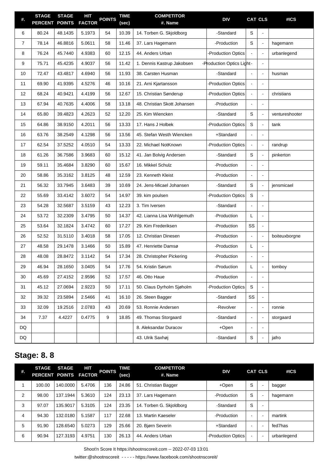| #.             | <b>STAGE</b><br>PERCENT POINTS | <b>STAGE</b> | HIT<br><b>FACTOR</b> | <b>POINTS</b> | <b>TIME</b><br>(sec) | <b>COMPETITOR</b><br>#. Name | <b>DIV</b>                |                | <b>CAT CLS</b>           | #ICS           |
|----------------|--------------------------------|--------------|----------------------|---------------|----------------------|------------------------------|---------------------------|----------------|--------------------------|----------------|
| 6              | 80.24                          | 48.1435      | 5.1973               | 54            | 10.39                | 14. Torben G. Skjoldborg     | -Standard                 | S              | $\blacksquare$           |                |
| $\overline{7}$ | 78.14                          | 46.8816      | 5.0611               | 58            | 11.46                | 37. Lars Hagemann            | -Production               | S              | $\blacksquare$           | hagemann       |
| 8              | 76.24                          | 45.7440      | 4.9383               | 60            | 12.15                | 44. Anders Urban             | -Production Optics        |                | $\blacksquare$           | urbanlegend    |
| 9              | 75.71                          | 45.4235      | 4.9037               | 56            | 11.42                | 1. Dennis Kastrup Jakobsen   | -Production Optics Light- |                | $\blacksquare$           |                |
| 10             | 72.47                          | 43.4817      | 4.6940               | 56            | 11.93                | 38. Carsten Husman           | -Standard                 |                | $\blacksquare$           | husman         |
| 11             | 69.90                          | 41.9395      | 4.5276               | 46            | 10.16                | 21. Arni Kjartansson         | <b>Production Optics</b>  |                | $\blacksquare$           |                |
| 12             | 68.24                          | 40.9421      | 4.4199               | 56            | 12.67                | 15. Christian Sønderup       | <b>Production Optics</b>  |                | $\blacksquare$           | christians     |
| 13             | 67.94                          | 40.7635      | 4.4006               | 58            | 13.18                | 48. Christian Skott Johansen | -Production               |                | $\blacksquare$           |                |
| 14             | 65.80                          | 39.4823      | 4.2623               | 52            | 12.20                | 25. Kim Wiencken             | -Standard                 | S              | $\blacksquare$           | ventureshooter |
| 15             | 64.86                          | 38.9150      | 4.2011               | 56            | 13.33                | 17. Hans J Holbek            | <b>Production Optics</b>  | S              | $\blacksquare$           | tank           |
| 16             | 63.76                          | 38.2549      | 4.1298               | 56            | 13.56                | 45. Stefan Westh Wiencken    | +Standard                 |                | $\blacksquare$           |                |
| 17             | 62.54                          | 37.5252      | 4.0510               | 54            | 13.33                | 22. Michael NotKnown         | <b>Production Optics</b>  | $\blacksquare$ | $\blacksquare$           | randrup        |
| 18             | 61.26                          | 36.7586      | 3.9683               | 60            | 15.12                | 41. Jan Bolvig Andersen      | -Standard                 | S              | $\blacksquare$           | pinkerton      |
| 19             | 59.11                          | 35.4684      | 3.8290               | 60            | 15.67                | 16. Mikkel Schulz            | -Production               |                | $\sim$                   |                |
| 20             | 58.86                          | 35.3162      | 3.8125               | 48            | 12.59                | 23. Kenneth Kleist           | -Production               |                | $\blacksquare$           |                |
| 21             | 56.32                          | 33.7945      | 3.6483               | 39            | 10.69                | 24. Jens-Micael Johansen     | -Standard                 | S              | $\blacksquare$           | jensmicael     |
| 22             | 55.69                          | 33.4142      | 3.6072               | 54            | 14.97                | 39. kim poulsen              | -Production Optics        | S              | $\blacksquare$           |                |
| 23             | 54.28                          | 32.5687      | 3.5159               | 43            | 12.23                | 3. Tim Iversen               | -Standard                 |                | $\overline{\phantom{a}}$ |                |
| 24             | 53.72                          | 32.2309      | 3.4795               | 50            | 14.37                | 42. Lianna Lisa Wohlgemuth   | -Production               | L              | $\blacksquare$           |                |
| 25             | 53.64                          | 32.1824      | 3.4742               | 60            | 17.27                | 29. Kim Frederiksen          | -Production               | SS             | $\blacksquare$           |                |
| 26             | 52.52                          | 31.5110      | 3.4018               | 58            | 17.05                | 12. Christian Dinesen        | -Production               | $\blacksquare$ | $\blacksquare$           | boiteuxborgne  |
| 27             | 48.58                          | 29.1478      | 3.1466               | 50            | 15.89                | 47. Henriette Damsø          | -Production               | L              | $\blacksquare$           |                |
| 28             | 48.08                          | 28.8472      | 3.1142               | 54            | 17.34                | 28. Christopher Pickering    | -Production               |                |                          |                |
| 29             | 46.94                          | 28.1650      | 3.0405               | 54            | 17.76                | 54. Kristin Sørum            | -Production               | L              |                          | tomboy         |
| 30             | 45.69                          | 27.4152      | 2.9596               | 52            | 17.57                | 46. Otto Haue                | -Production               |                | $\blacksquare$           |                |
| 31             | 45.12                          | 27.0694      | 2.9223               | 50            | 17.11                | 50. Claus Dyrholm Sjøholm    | -Production Optics        | $\mathsf S$    | $\blacksquare$           |                |
| 32             | 39.32                          | 23.5894      | 2.5466               | 41            | 16.10                | 26. Steen Bagger             | -Standard                 | SS             | $\blacksquare$           |                |
| 33             | 32.09                          | 19.2516      | 2.0783               | 43            | 20.69                | 53. Ronnie Andersen          | -Revolver                 | $\blacksquare$ | $\blacksquare$           | ronnie         |
| 34             | 7.37                           | 4.4227       | 0.4775               | 9             | 18.85                | 49. Thomas Storgaard         | -Standard                 | $\blacksquare$ | $\blacksquare$           | storgaard      |
| DQ             |                                |              |                      |               |                      | 8. Aleksandar Duracov        | +Open                     |                | $\blacksquare$           |                |
| DQ             |                                |              |                      |               |                      | 43. Ulrik Saxhøj             | -Standard                 | S              | $\blacksquare$           | jafro          |

#### **Stage: 8. 8**

| #. | <b>STAGE</b> | <b>STAGE</b><br>PERCENT POINTS FACTOR | HІТ    | <b>POINTS</b> | TIME<br>(sec) | <b>COMPETITOR</b><br>#. Name | <b>DIV</b>         |                          | <b>CAT CLS</b>           | #ICS        |
|----|--------------|---------------------------------------|--------|---------------|---------------|------------------------------|--------------------|--------------------------|--------------------------|-------------|
|    | 100.00       | 140.0000                              | 5.4706 | 136           | 24.86         | 51. Christian Bagger         | +Open              | S                        | ٠                        | bagger      |
| 2  | 98.00        | 137.1944                              | 5.3610 | 124           | 23.13         | 37. Lars Hagemann            | -Production        | S                        | $\blacksquare$           | hagemann    |
| 3  | 97.07        | 135.9017                              | 5.3105 | 124           | 23.35         | 14. Torben G. Skioldborg     | -Standard          | S                        | -                        |             |
| 4  | 94.30        | 132.0180                              | 5.1587 | 117           | 22.68         | 13. Martin Kaeseler          | -Production        | $\overline{\phantom{0}}$ | $\overline{\phantom{0}}$ | martink     |
| 5  | 91.90        | 128.6540                              | 5.0273 | 129           | 25.66         | 20. Bjørn Severin            | $+$ Standard       | $\overline{\phantom{0}}$ | $\overline{\phantom{0}}$ | fed7has     |
| 6  | 90.94        | 127.3193                              | 4.9751 | 130           | 26.13         | 44. Anders Urban             | -Production Optics |                          | $\blacksquare$           | urbanlegend |

Shoot'n Score It https://shootnscoreit.com -- 2022-07-03 13:01